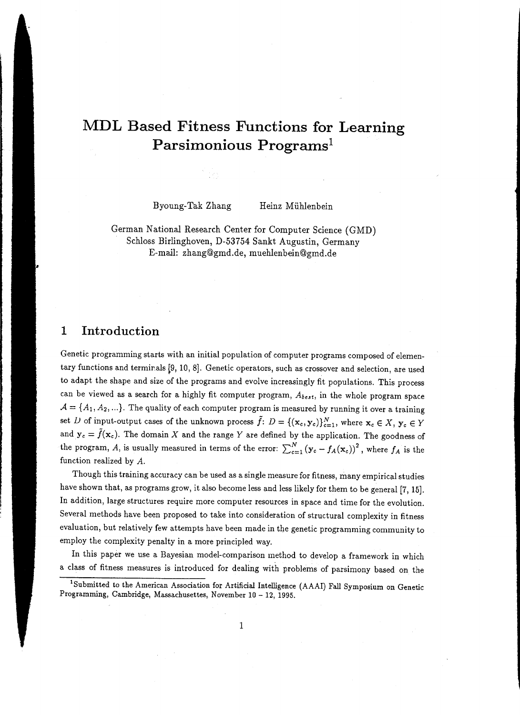# **MDL Based Fitness Functions for Learning Parsimonious Programs<sup>1</sup>**

Byoung-Tak Zhang Heinz M iihlenbein

German National Research Center for Computer Science **(GMD)**  Schloss Birlinghoven, D-53754 Sankt Augustin, Germany E-mail: zhang@gmd.de, muehlenbein@gmd.de

#### **1 Introduction**

Genetic programming starts with an initial population of computer programs composed of elementary functions and terminals [9, 10, 8]. Genetic operators, such as crossover and selection, are used to adapt the shape and size of the programs and evolve increasingly fit populations. This process can be viewed as a search for a highly fit computer program, *Abe•t,* in the whole program space  $\mathcal{A}=\{A_1, A_2, ...\}$ . The quality of each computer program is measured by running it over a training set *D* of input-output cases of the unknown process  $\tilde{f}: D = \{(\mathbf{x}_c, \mathbf{y}_c)\}_{c=1}^N$ , where  $\mathbf{x}_c \in X$ ,  $\mathbf{y}_c \in Y$ and  $y_c = \tilde{f}(\mathbf{x}_c)$ . The domain X and the range Y are defined by the application. The goodness of the program, A, is usually measured in terms of the error:  $\sum_{c=1}^{N} (y_c - f_A(x_c))^2$ , where  $f_A$  is the function realized by A.

Though this training accuracy can be used as a single measure for fitness, many empirical studies have shown that, as programs grow, it also become less and less likely for them to be general [7, 15]. In addition, large structures require more computer resources in space and time for the evolution. Several methods have been proposed to take into consideration of structural complexity in fitness evaluation, but relatively few attempts have been made in the genetic programming community to employ the complexity penalty in a more principled way.

In this paper we use a Bayesian model-comparison method to develop a framework in which a class of fitness measures is introduced for dealing with problems of parsimony based on the

<sup>&</sup>lt;sup>1</sup>Submitted to the American Association for Artificial Intelligence (AAAI) Fall Symposium on Genetic Programming, Cambridge, Massachusettes, November **10-** 12, 1995.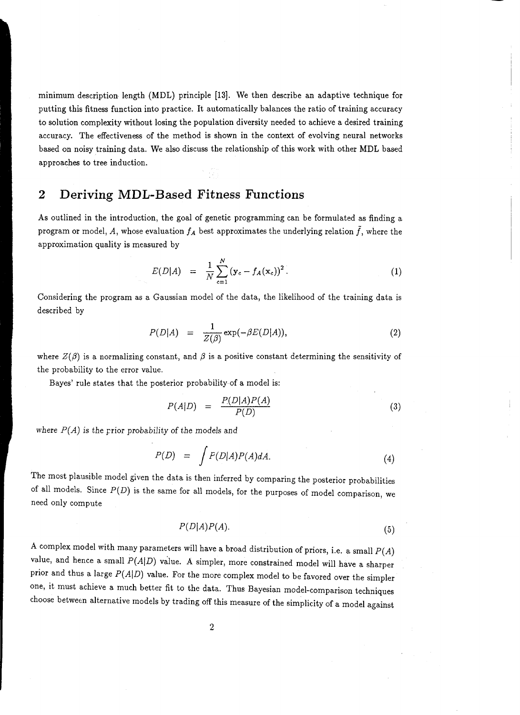minimum description length (MDL) principle [13). We then describe an adaptive technique for putting this fitness function into practice. It automatically balances the ratio of training accuracy to solution complexity without losing the population diversity needed to achieve a desired training accuracy. The effectiveness of the method is shown in the context of evolving neural networks based on noisy training data. We also discuss the relationship of this work with other MDL based approaches to tree induction.

## **2 Deriving MDL-Based Fitness Functions**

As outlined in the introduction, the goal of genetic programming can be formulated as finding a program or model,  $A$ , whose evaluation  $f_A$  best approximates the underlying relation  $f$ , where the approximation quality is measured by

$$
E(D|A) = \frac{1}{N} \sum_{c=1}^{N} (\mathbf{y}_c - f_A(\mathbf{x}_c))^2.
$$
 (1)

Considering the program as a Gaussian model of the data, the likelihood of the training data is described by

$$
P(D|A) = \frac{1}{Z(\beta)} \exp(-\beta E(D|A)), \qquad (2)
$$

where  $Z(\beta)$  is a normalizing constant, and  $\beta$  is a positive constant determining the sensitivity of the probability to the error value.

Bayes' rule states that the posterior probability of a model is:

$$
P(A|D) = \frac{P(D|A)P(A)}{P(D)} \tag{3}
$$

where P(A) *is* the rrior probability of the *models* and

$$
P(D) = \int P(D|A)P(A)dA.
$$
 (4)

The most plausible model given the data is then inferred by comparing the posterior probabilities of all models. Since  $P(D)$  is the same for all models, for the purposes of model comparison, we need only compute

$$
P(D|A)P(A). \t\t(5)
$$

A complex model with many parameters will have a broad distribution of priors, i.e. a small  $P(A)$ value, and hence a small  $P(A|D)$  value. A simpler, more constrained model will have a sharper prior and thus a large  $P(A|D)$  value. For the more complex model to be favored over the simpler one, it must achieve a much better fit to the data. Thus Bayesian model-comparison techniques choose between alternative models by trading off this measure of the simplicity of a model against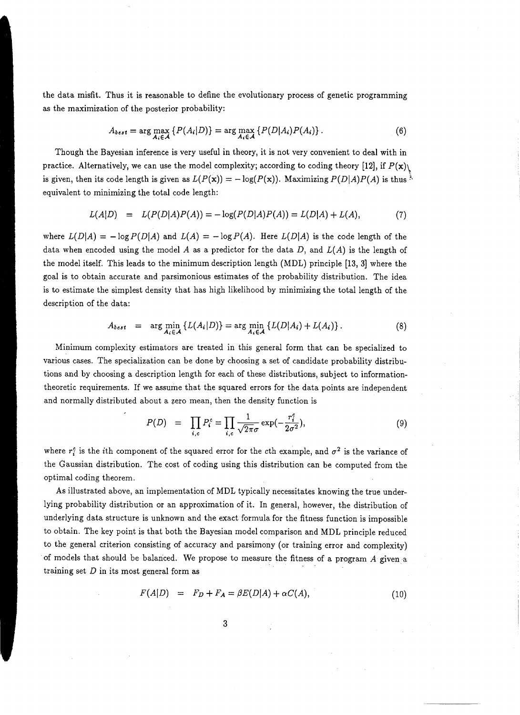the data misfit. Thus it is reasonable to define the evolutionary process of genetic programming as the maximization of the posterior probability:

$$
A_{best} = \arg\max_{A_i \in \mathcal{A}} \left\{ P(A_i|D) \right\} = \arg\max_{A_i \in \mathcal{A}} \left\{ P(D|A_i)P(A_i) \right\}.
$$
 (6)

Though the Bayesian inference is very useful in theory, it is not very convenient to deal with in practice. Alternatively, we can use the model complexity; according to coding theory [12], if  $P(\mathbf{x})$ is given, then its code length is given as  $L(P(x)) = -\log(P(x))$ . Maximizing  $P(D|A)P(A)$  is thus  $\frac{\lambda}{\lambda}$ equivalent to minimizing the total code length:

$$
L(A|D) = L(P(D|A)P(A)) = -\log(P(D|A)P(A)) = L(D|A) + L(A),
$$
\n(7)

where  $L(D|A) = -\log P(D|A)$  and  $L(A) = -\log P(A)$ . Here  $L(D|A)$  is the code length of the data when encoded using the model A as a predictor for the data D, and  $L(A)$  is the length of the model itself. This leads to the minimum description length (MDL) principle [13, 3] where the goal is to obtain accurate and parsimonious estimates of the probability distribution. The idea is to estimate the simplest density that has high likelihood by minimizing the total length of the description of the data:

$$
A_{best} = \arg \min_{A_i \in \mathcal{A}} \left\{ L(A_i|D) \right\} = \arg \min_{A_i \in \mathcal{A}} \left\{ L(D|A_i) + L(A_i) \right\}. \tag{8}
$$

Minimum complexity estimators are treated in this general form that can be specialized to various cases. The specialization can be done by choosing a set of candidate probability distributions and by choosing a description length for each of these distributions, subject to informationtheoretic requirements. If we assume that the squared errors for the data points are independent and normally distributed about a zero mean, then the density function is

$$
P(D) = \prod_{i,c} P_i^c = \prod_{i,c} \frac{1}{\sqrt{2\pi}\sigma} \exp(-\frac{r_i^c}{2\sigma^2}), \tag{9}
$$

where  $r_i^c$  is the *i*th component of the squared error for the *c*th example, and  $\sigma^2$  is the variance of the Gaussian distribution. The cost of coding using this distribution can be computed from the optimal coding theorem.

As illustrated above, an implementation of MDL typically necessitates knowing the true underlying probability distribution or an approximation of it. In general, however, the distribution of underlying data structure is unknown and the exact formula for the fitness function is impossible to obtain. The key point is that both the Bayesian model comparison and MDL principle reduced to the general criterion consisting of accuracy and parsimony (or training error and complexity) of models that should be balanced. We propose to measure the fitness of a program A given a training set  $D$  in its most general form as

$$
F(A|D) = F_D + F_A = \beta E(D|A) + \alpha C(A), \qquad (10)
$$

3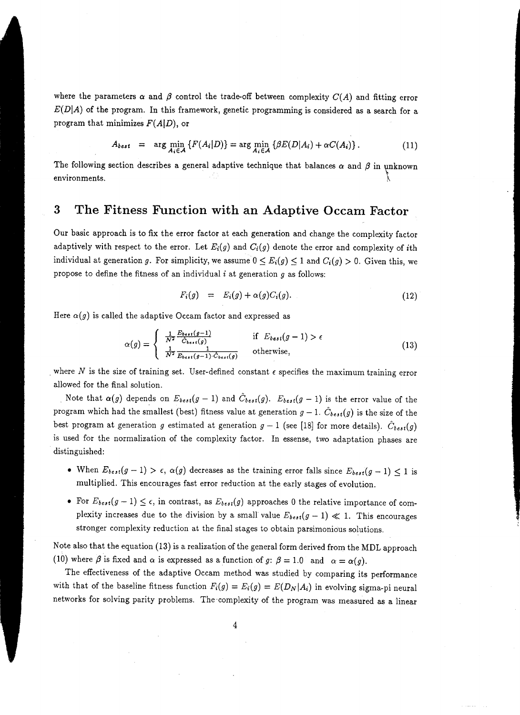where the parameters  $\alpha$  and  $\beta$  control the trade-off between complexity  $C(A)$  and fitting error  $E(D|A)$  of the program. In this framework, genetic programming is considered as a search for a program that minimizes *F(AjD),* or

$$
A_{best} = \arg \min_{A_i \in \mathcal{A}} \left\{ F(A_i|D) \right\} = \arg \min_{A_i \in \mathcal{A}} \left\{ \beta E(D|A_i) + \alpha C(A_i) \right\}. \tag{11}
$$

The following section describes a general adaptive technique that balances  $\alpha$  and  $\beta$  in unknown environments. *!\* 

### **3 The Fitness Function with an Adaptive Occam Factor**

Our basic approach is to fix the error factor at each generation and change the complexity factor adaptively with respect to the error. Let  $E_i(g)$  and  $C_i(g)$  denote the error and complexity of *i*th individual at generation g. For simplicity, we assume  $0 \le E_i(g) \le 1$  and  $C_i(g) > 0$ . Given this, we propose to define the fitness of an individual *i* at generation *g* as follows:

$$
F_i(g) = E_i(g) + \alpha(g)C_i(g). \qquad (12)
$$

Here  $\alpha(g)$  is called the adaptive Occam factor and expressed as

$$
\alpha(g) = \begin{cases} \frac{1}{N^2} \frac{E_{best}(g-1)}{\hat{C}_{best}(g)} & \text{if } E_{best}(g-1) > \epsilon\\ \frac{1}{N^2} \frac{1}{E_{best}(g-1) \cdot \hat{C}_{best}(g)} & \text{otherwise,} \end{cases}
$$
(13)

where N is the size of training set. User-defined constant  $\epsilon$  specifies the maximum training error allowed for the final solution.

Note that  $\alpha(g)$  depends on  $E_{best}(g-1)$  and  $\tilde{C}_{best}(g)$ .  $E_{best}(g-1)$  is the error value of the program which had the smallest (best) fitness value at generation  $g-1$ .  $C_{best}(g)$  is the size of the best program at generation *g* estimated at generation  $g-1$  (see [18] for more details).  $\hat{C}_{best}(g)$ is used for the normalization of the complexity factor. In essense, two adaptation phases are distinguished:

- When  $E_{best}(g-1) > \epsilon$ ,  $\alpha(g)$  decreases as the training error falls since  $E_{best}(g-1) \leq 1$  is multiplied. This encourages fast error reduction at the early stages of evolution.
- For  $E_{best}(g-1) \leq \epsilon$ , in contrast, as  $E_{best}(g)$  approaches 0 the relative importance of complexity increases due to the division by a small value  $E_{best}(g-1) \ll 1$ . This encourages stronger complexity reduction at the final stages to obtain parsimonious solutions.

Note also that the equation (13) is a realization of the general form derived from the MDL approach (10) where  $\beta$  is fixed and  $\alpha$  is expressed as a function of *g*:  $\beta = 1.0$  and  $\alpha = \alpha(g)$ .

The effectiveness of the adaptive Occam method was studied by comparing its performance with that of the baseline fitness function  $F_i(g) = E_i(g) = E(D_N|A_i)$  in evolving sigma-pi neural networks for solving parity problems. The ·complexity of the program was measured as a linear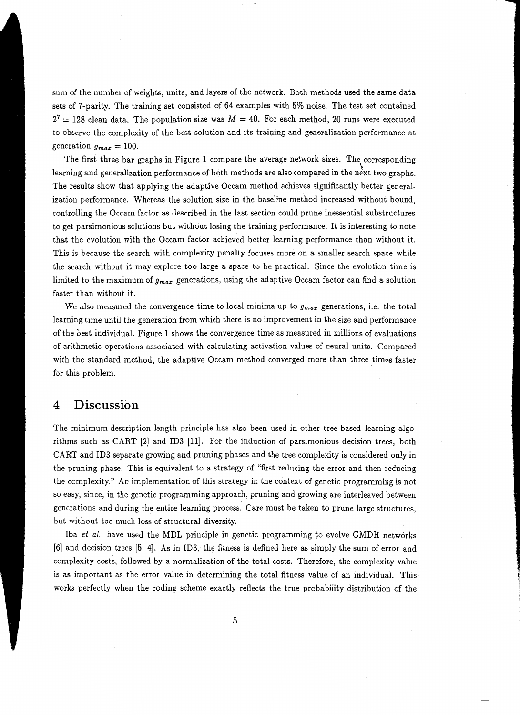sum of the number of weights, units, and layers of the network. Both methods used the same data sets of 7-parity. The training set consisted of 64 examples with 5% noise. The test set contained  $2^7 = 128$  clean data. The population size was  $M = 40$ . For each method, 20 runs were executed to observe the complexity of the best solution and its training and generalization performance at generation  $g_{max} = 100$ .

The first three bar graphs in Figure 1 compare the average network sizes. The corresponding learning and generalization performance of both methods are also compared in the next two graphs. The results show that applying the adaptive Occam method achieves significantly better generalization performance. Whereas the solution size in the baseline method increased without bound, controlling the Occam factor as described in the last section could prune inessential substructures to get parsimonious solutions but without losing the training performance. It is interesting to note that the evolution with the Occam factor achieved better learning performance than without it. This is because the search with complexity penalty focuses more on a smaller search space while the search without it may explore too large a space to be practical. Since the evolution time is limited to the maximum of *gmax* generations, using the adaptive Occam factor can find a solution faster than without it.

We also measured the convergence time to local minima up to *gmax* generations, i.e. the total learning time until the generation from which there is no improvement in the size and performance of the best individual. Figure 1 shows the convergence time as measured in millions of evaluations of arithmetic operations associated with calculating activation values of neural units. Compared with the standard method, the adaptive Occam method converged more than three times faster for this problem.

#### **4 Discussion**

The minimum description length principle has also been used in other tree~based learning algorithms such as CART (2] and ID3 (11]. For the induction of parsimonious decision trees, both CART and ID3 separate growing and pruning phases and the tree complexity is considered only in the pruning phase. This is equivalent to a strategy of "first reducing the error and then reducing the complexity." An implementation of this strategy in the context of genetic programming is not so easy, since, in the genetic programming approach, pruning and growing are interleaved between generations and during the entire learning process. Care must be taken to prune large structures, but without too much loss of structural diversity.

Iba *et a/.* have used the MDL principle in genetic programming to evolve GMDH networks (6] and decision trees (5, 4]. As in ID3, the fitness is defined here as simply the sum of error and complexity costs, followed by a normalization of the total costs. Therefore, the complexity value is as important as the error value in determining the total fitness value of an individual. This works perfectly when the coding scheme exactly reflects the true probability distribution of the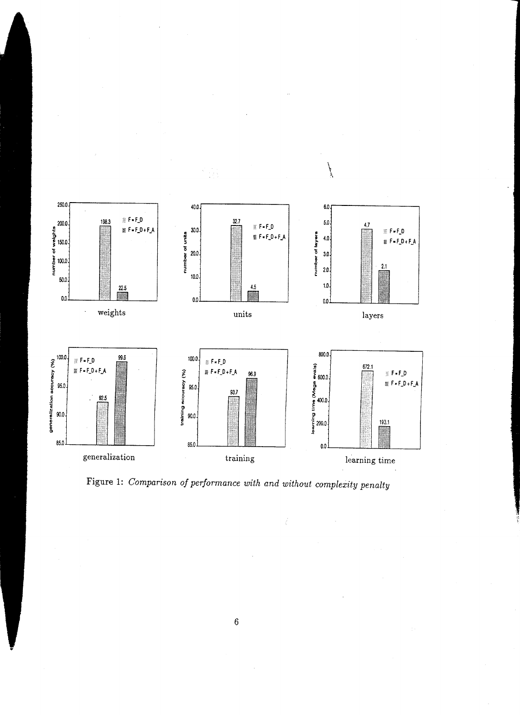

Figure 1: *Comparison of performance with and without complexity penalty*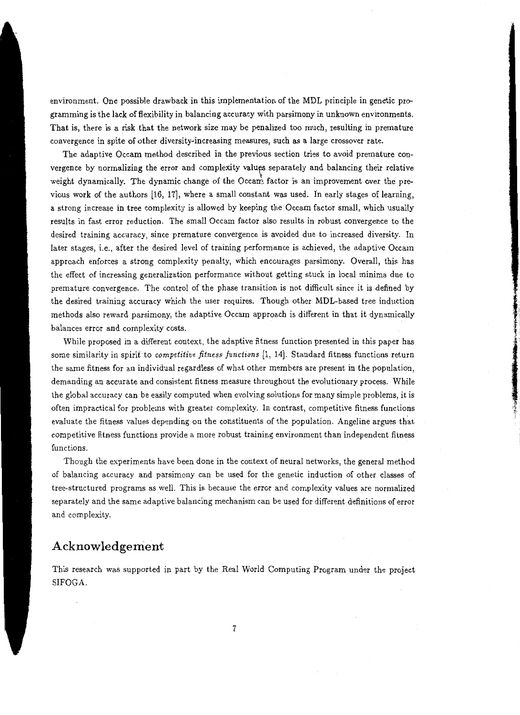environment. One possible drawback in this implementation of the MDL principle in genetic programming is the lack of flexibility in balancing accuracy with parsimony in unknown environments. That is, there is a risk that the network size may be penalized too much, resulting in premature convergence in spite of other diversity-increasing measures, such as a large crossover rate.

The adaptive Occam method described in the previous section tries to avoid premature convergence by normalizing the error and complexity values separately and balancing their relative weight dynamically. The dynamic change of the Occan's factor is an improvement over the previous work of the authors [16, 17], where a small constant was used. In early stages of learning, a strong increase in tree complexity is allowed by keeping the Occam factor small, which usually results in fast error reduction. The small Occam factor also results in robust convergence to the desired training accuracy, since premature convergence is avoided due to increased diversity. In later stages, i.e., after the desired level of training performance is achieved, the adaptive Occam approach enforces a strong complexity penalty, which encourages parsimony. Overall, this has the effect of increasing generalization performance without getting stuck in local minima due to premature convergence. The control of the phase transition is not difficult since it is defined by the desired training accuracy which the user requires. Though other MDL-based tree induction methods also reward parsimony, the adaptive Occam approach is different in that it dynamically balances error and complexity costs.

While proposed in a different context, the adaptive fitness function presented in this paper has some similarity in spirit to *competitive fitness functions* [1, 14]. Standard fitness functions return the same fitness for an individual regardless of what other members are present in the population, demanding an accurate and consistent fitness measure throughout the evolutionary process. While the global accuracy can be easily computed when evolving solutions for many simple problems, it is often impractical for problems with greater complexity. In contrast, competitive fitness functions evaluate the fitness values depending on the constituents of the population. Angeline argues that competitive fitness functions provide a more robust training environment than independent fitness functions.

.I . T. :t'

Though the experiments have been done in the context of neural networks, the general method of balancing accuracy and parsimony can be used for the genetic induction of other classes of tree-structured programs as well. This is because the error and complexity values are normalized separately and the same adaptive balancing mechanism can be used for different definitions of error and complexity.

## **Acknowledgement**

This research was supported in part by the Real World Computing Program under the project SIFOGA.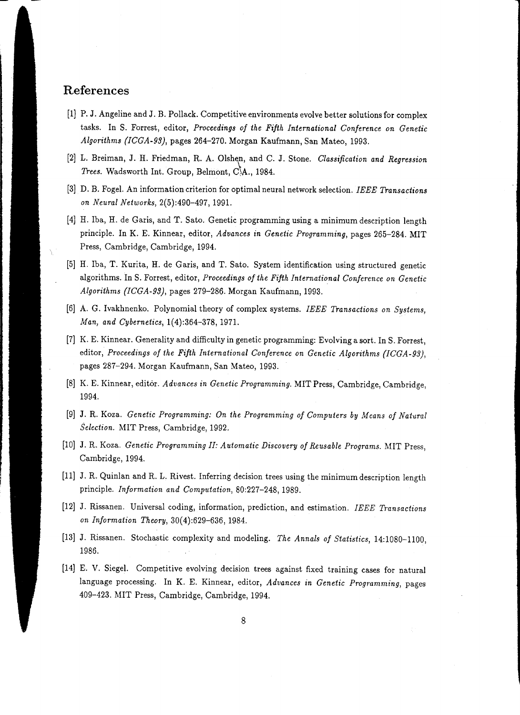# **References**

- (1) P. J. Angeline and J. B. Pollack. Competitive environments evolve better solutions for complex tasks. In S. Forrest, editor, *Proceedings of the Fifth International Conference on Genetic Algorithms (ICGA-93},* pages 264-270. Morgan Kaufmann, San Mateo, 1993.
- [2] L. Breiman, J. H. Friedman, R. A. Olshen, and C. J. Stone. *Classification and Regression Trees.* Wadsworth Int. Group, Belmont, C,A.., 1984.
- [3) D. B. Fogel. An information criterion for optimal neural network selection. *IEEE Transactions on Neural Networks,* 2(5):490-497, 1991.
- [4] H. Iba, H. de Garis, and T. Sato. Genetic programming using a minimum description length principle. In K. E. Kinnear, editor, *Advances in Genetic Programming,* pages 265-284. MIT Press, Cambridge, Cambridge, 1994.
- [5] H. Iba, T. Kurita, H. de Garis, and T. Sato. System identification using structured genetic algorithms. InS. Forrest, editor, *Proceedings of the Fifth International Conference on Genetic Algorithms (ICGA-93),* pages 279-286. Morgan Kaufmann, 1993.
- [6] A. G. Ivakhnenko. Polynomial theory of complex systems. *IEEE Transactions on Systems, Man, and Cybernetics,* 1(4):364-378, 1971.
- [7] K. E. Kinnear. Generality and difficulty in genetic programming: Evolving a sort. In S. Forrest, editor, *Proceedings of the Fifth International Conference on Genetic Algorithms (ICGA-93},*  pages 287-294. Morgan Kaufmann, San Mateo, 1993.
- [8] K. E. Kinnear, editor. *Advances in Genetic Programming.* MIT Press, Cambridge, Cambridge, 1994.
- [9] J. R. Koza. *Genetic Programming: On the Programming of Computers by Means of Natural Selection.* MIT Press, Cambridge, 1992.
- [10] J. R. Koza. *Genetic Programming II: Automatic Discovery of Reusable Programs.* MIT Press, Cambridge, 1994.
- [11] J. R. Quinlan and R. L. Rivest. Inferring decision trees using the minimum description length principle. *Information and Computation.,* 80:227-248, 1989.
- [12] J. Rissanen. Universal coding, information, prediction, and estimation. *IEEE Transactions on Information Theory,* 30( 4):629-636, 1984.
- [13] J. Rissanen. Stochastic complexity and modeling. *The Annals of Statistics,* 14:1080-1100, 1986.
- [14] E. V. Siegel. Competitive evolving decision trees against fixed training cases for natural language processing. In K. E. Kinnear, editor, *Advances in Genetic Programming,* pages 409-423. MIT Press, Cambridge, Cambridge, 1994.